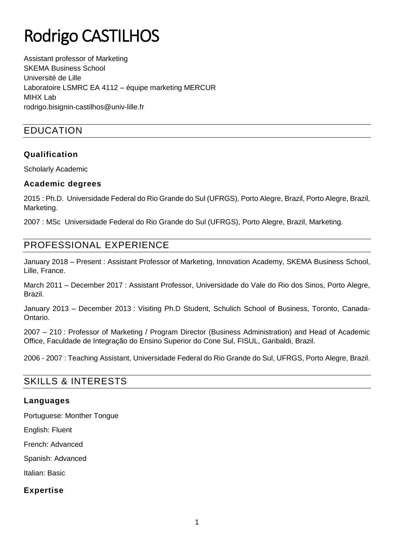# Rodrigo CASTILHOS

Assistant professor of Marketing SKEMA Business School Université de Lille Laboratoire LSMRC EA 4112 – équipe marketing MERCUR MIHX Lab rodrigo.bisignin-castilhos@univ-lille.fr

# EDUCATION

## **Qualification**

Scholarly Academic

#### **Academic degrees**

2015 : Ph.D. Universidade Federal do Rio Grande do Sul (UFRGS), Porto Alegre, Brazil, Porto Alegre, Brazil, Marketing.

2007 : MSc Universidade Federal do Rio Grande do Sul (UFRGS), Porto Alegre, Brazil, Marketing.

# PROFESSIONAL EXPERIENCE

January 2018 – Present : Assistant Professor of Marketing, Innovation Academy, SKEMA Business School, Lille, France.

March 2011 – December 2017 : Assistant Professor, Universidade do Vale do Rio dos Sinos, Porto Alegre, Brazil.

January 2013 – December 2013 : Visiting Ph.D Student, Schulich School of Business, Toronto, Canada-Ontario.

2007 – 210 : Professor of Marketing / Program Director (Business Administration) and Head of Academic Office, Faculdade de Integração do Ensino Superior do Cone Sul, FISUL, Garibaldi, Brazil.

2006 - 2007 : Teaching Assistant, Universidade Federal do Rio Grande do Sul, UFRGS, Porto Alegre, Brazil.

## SKILLS & INTERESTS

## **Languages**

Portuguese: Monther Tongue

English: Fluent

French: Advanced

Spanish: Advanced

Italian: Basic

## **Expertise**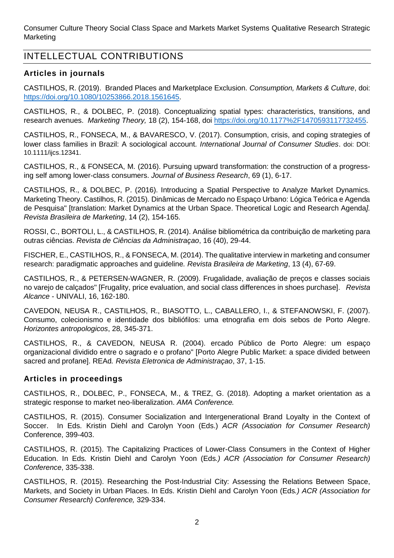Consumer Culture Theory Social Class Space and Markets Market Systems Qualitative Research Strategic **Marketing** 

# INTELLECTUAL CONTRIBUTIONS

## **Articles in journals**

CASTILHOS, R. (2019). Branded Places and Marketplace Exclusion. *Consumption, Markets & Culture*, doi: [https://doi.org/10.1080/10253866.2018.1561645.](https://doi.org/10.1080/10253866.2018.1561645)

CASTILHOS, R., & DOLBEC, P. (2018). Conceptualizing spatial types: characteristics, transitions, and research avenues. *Marketing Theory,* 18 (2), 154-168, doi [https://doi.org/10.1177%2F1470593117732455.](https://doi.org/10.1177%2F1470593117732455)

CASTILHOS, R., FONSECA, M., & BAVARESCO, V. (2017). Consumption, crisis, and coping strategies of lower class families in Brazil: A sociological account*. International Journal of Consumer Studies*. doi: DOI: 10.1111/ijcs.12341.

CASTILHOS, R., & FONSECA, M. (2016). Pursuing upward transformation: the construction of a progressing self among lower-class consumers. *Journal of Business Research*, 69 (1), 6-17.

CASTILHOS, R., & DOLBEC, P. (2016). Introducing a Spatial Perspective to Analyze Market Dynamics. Marketing Theory. Castilhos, R. (2015). Dinâmicas de Mercado no Espaço Urbano: Lógica Teórica e Agenda de Pesquisa" [translation: Market Dynamics at the Urban Space. Theoretical Logic and Research Agenda*]. Revista Brasileira de Marketing*, 14 (2), 154-165.

ROSSI, C., BORTOLI, L., & CASTILHOS, R. (2014). Análise bibliométrica da contribuição de marketing para outras ciências. *Revista de Ciências da Administraçao*, 16 (40), 29-44.

FISCHER, E., CASTILHOS, R., & FONSECA, M. (2014). The qualitative interview in marketing and consumer research: paradigmatic approaches and guideline*. Revista Brasileira de Marketing*, 13 (4), 67-69.

CASTILHOS, R., & PETERSEN-WAGNER, R. (2009). Frugalidade, avaliação de preços e classes sociais no varejo de calçados" [Frugality, price evaluation, and social class differences in shoes purchase]. *Revista Alcance* - UNIVALI, 16, 162-180.

CAVEDON, NEUSA R., CASTILHOS, R., BIASOTTO, L., CABALLERO, I., & STEFANOWSKI, F. (2007). Consumo, colecionismo e identidade dos bibliófilos: uma etnografia em dois sebos de Porto Alegre. *Horizontes antropologicos*, 28, 345-371.

CASTILHOS, R., & CAVEDON, NEUSA R. (2004). ercado Público de Porto Alegre: um espaço organizacional dividido entre o sagrado e o profano" [Porto Alegre Public Market: a space divided between sacred and profane]. REAd*. Revista Eletronica de Administraçao*, 37, 1-15.

#### **Articles in proceedings**

CASTILHOS, R., DOLBEC, P., FONSECA, M., & TREZ, G. (2018). Adopting a market orientation as a strategic response to market neo-liberalization. *AMA Conference.*

CASTILHOS, R. (2015). Consumer Socialization and Intergenerational Brand Loyalty in the Context of Soccer. In Eds. Kristin Diehl and Carolyn Yoon (Eds.) *ACR (Association for Consumer Research)* Conference, 399-403.

CASTILHOS, R. (2015). The Capitalizing Practices of Lower-Class Consumers in the Context of Higher Education. In Eds. Kristin Diehl and Carolyn Yoon (Eds*.) ACR (Association for Consumer Research) Conference*, 335-338.

CASTILHOS, R. (2015). Researching the Post-Industrial City: Assessing the Relations Between Space, Markets, and Society in Urban Places. In Eds. Kristin Diehl and Carolyn Yoon (Eds*.) ACR (Association for Consumer Research) Conference,* 329-334.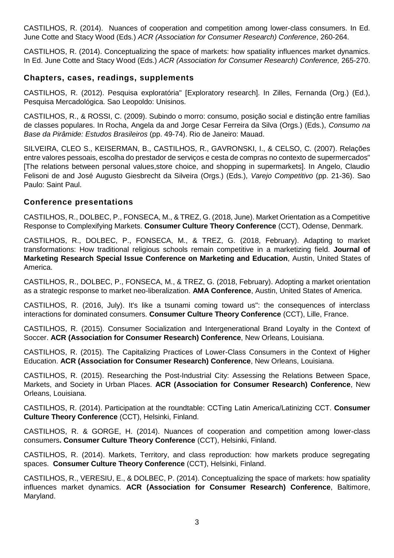CASTILHOS, R. (2014). Nuances of cooperation and competition among lower-class consumers. In Ed. June Cotte and Stacy Wood (Eds.) *ACR (Association for Consumer Research) Conference*, 260-264.

CASTILHOS, R. (2014). Conceptualizing the space of markets: how spatiality influences market dynamics. In Ed. June Cotte and Stacy Wood (Eds.) *ACR (Association for Consumer Research) Conference,* 265-270.

#### **Chapters, cases, readings, supplements**

CASTILHOS, R. (2012). Pesquisa exploratória" [Exploratory research]. In Zilles, Fernanda (Org.) (Ed.), Pesquisa Mercadológica. Sao Leopoldo: Unisinos.

CASTILHOS, R., & ROSSI, C. (2009). Subindo o morro: consumo, posição social e distinção entre famílias de classes populares. In Rocha, Angela da and Jorge Cesar Ferreira da Silva (Orgs.) (Eds.), *Consumo na Base da Pirâmide: Estudos Brasileiros* (pp. 49-74). Rio de Janeiro: Mauad.

SILVEIRA, CLEO S., KEISERMAN, B., CASTILHOS, R., GAVRONSKI, I., & CELSO, C. (2007). Relações entre valores pessoais, escolha do prestador de serviços e cesta de compras no contexto de supermercados" [The relations between personal values,store choice, and shopping in supermarkets]. In Angelo, Claudio Felisoni de and José Augusto Giesbrecht da Silveira (Orgs.) (Eds.), *Varejo Competitivo* (pp. 21-36). Sao Paulo: Saint Paul.

#### **Conference presentations**

CASTILHOS, R., DOLBEC, P., FONSECA, M., & TREZ, G. (2018, June). Market Orientation as a Competitive Response to Complexifying Markets. **Consumer Culture Theory Conference** (CCT), Odense, Denmark.

CASTILHOS, R., DOLBEC, P., FONSECA, M., & TREZ, G. (2018, February). Adapting to market transformations: How traditional religious schools remain competitive in a marketizing field. **Journal of Marketing Research Special Issue Conference on Marketing and Education**, Austin, United States of America.

CASTILHOS, R., DOLBEC, P., FONSECA, M., & TREZ, G. (2018, February). Adopting a market orientation as a strategic response to market neo-liberalization. **AMA Conference**, Austin, United States of America.

CASTILHOS, R. (2016, July). It's like a tsunami coming toward us": the consequences of interclass interactions for dominated consumers. **Consumer Culture Theory Conference** (CCT), Lille, France.

CASTILHOS, R. (2015). Consumer Socialization and Intergenerational Brand Loyalty in the Context of Soccer. **ACR (Association for Consumer Research) Conference**, New Orleans, Louisiana.

CASTILHOS, R. (2015). The Capitalizing Practices of Lower-Class Consumers in the Context of Higher Education. **ACR (Association for Consumer Research) Conference**, New Orleans, Louisiana.

CASTILHOS, R. (2015). Researching the Post-Industrial City: Assessing the Relations Between Space, Markets, and Society in Urban Places. **ACR (Association for Consumer Research) Conference**, New Orleans, Louisiana.

CASTILHOS, R. (2014). Participation at the roundtable: CCTing Latin America/Latinizing CCT. **Consumer Culture Theory Conference** (CCT), Helsinki, Finland.

CASTILHOS, R. & GORGE, H. (2014). Nuances of cooperation and competition among lower-class consumers**. Consumer Culture Theory Conference** (CCT), Helsinki, Finland.

CASTILHOS, R. (2014). Markets, Territory, and class reproduction: how markets produce segregating spaces. **Consumer Culture Theory Conference** (CCT), Helsinki, Finland.

CASTILHOS, R., VERESIU, E., & DOLBEC, P. (2014). Conceptualizing the space of markets: how spatiality influences market dynamics. **ACR (Association for Consumer Research) Conference**, Baltimore, Maryland.